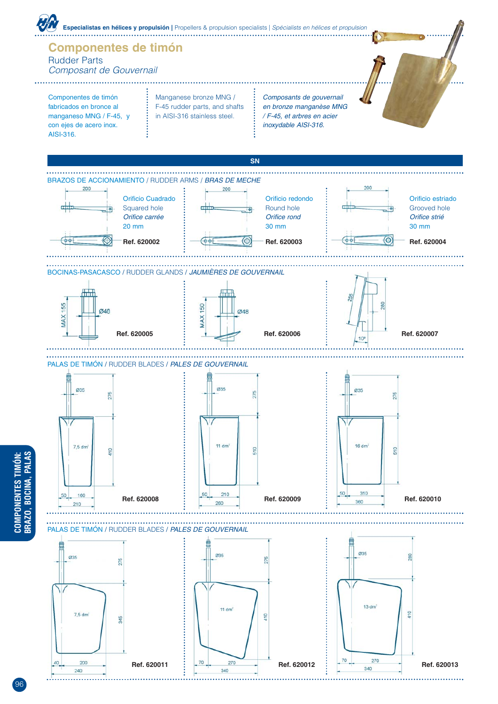

96

**COMPONENTES TIMÓN:**

. . . . . . . . . . . . . . . . . . . .